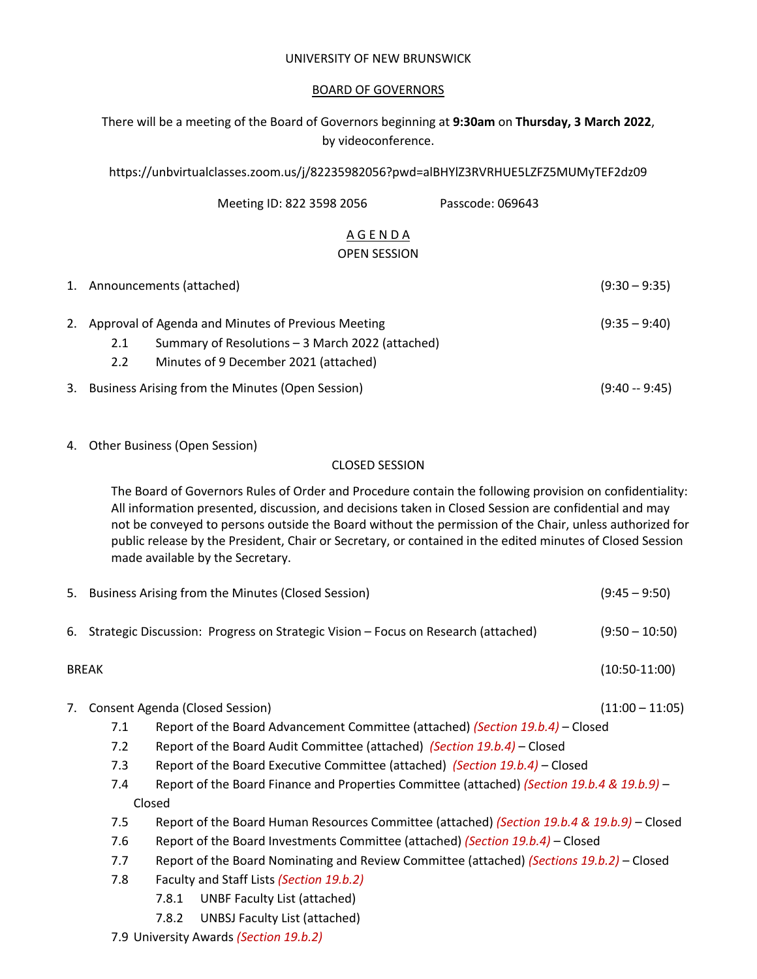### UNIVERSITY OF NEW BRUNSWICK

### BOARD OF GOVERNORS

There will be a meeting of the Board of Governors beginning at **9:30am** on **Thursday, 3 March 2022**, by videoconference.

https://unbvirtualclasses.zoom.us/j/82235982056?pwd=alBHYlZ3RVRHUE5LZFZ5MUMyTEF2dz09

| Meeting ID: 822 3598 2056 | Passcode: 069643 |
|---------------------------|------------------|
|                           |                  |

### A G E N D A OPEN SESSION

|    |                      | 1. Announcements (attached)                                                                                                                        | $(9:30 - 9:35)$ |
|----|----------------------|----------------------------------------------------------------------------------------------------------------------------------------------------|-----------------|
|    | 2.1<br>$2.2^{\circ}$ | 2. Approval of Agenda and Minutes of Previous Meeting<br>Summary of Resolutions - 3 March 2022 (attached)<br>Minutes of 9 December 2021 (attached) | $(9:35 - 9:40)$ |
| 3. |                      | Business Arising from the Minutes (Open Session)                                                                                                   | $(9:40 - 9:45)$ |

4. Other Business (Open Session)

### CLOSED SESSION

The Board of Governors Rules of Order and Procedure contain the following provision on confidentiality: All information presented, discussion, and decisions taken in Closed Session are confidential and may not be conveyed to persons outside the Board without the permission of the Chair, unless authorized for public release by the President, Chair or Secretary, or contained in the edited minutes of Closed Session made available by the Secretary.

|                                        |                                                                                   | 5. Business Arising from the Minutes (Closed Session)                                       | $(9:45 - 9:50)$   |  |
|----------------------------------------|-----------------------------------------------------------------------------------|---------------------------------------------------------------------------------------------|-------------------|--|
| 6.                                     | Strategic Discussion: Progress on Strategic Vision - Focus on Research (attached) |                                                                                             |                   |  |
|                                        | <b>BREAK</b>                                                                      |                                                                                             | $(10:50-11:00)$   |  |
| 7.                                     |                                                                                   | Consent Agenda (Closed Session)                                                             | $(11:00 - 11:05)$ |  |
|                                        | 7.1                                                                               | Report of the Board Advancement Committee (attached) (Section 19.b.4) - Closed              |                   |  |
|                                        | 7.2                                                                               | Report of the Board Audit Committee (attached) (Section 19.b.4) – Closed                    |                   |  |
|                                        | 7.3                                                                               | Report of the Board Executive Committee (attached) (Section 19.b.4) – Closed                |                   |  |
|                                        | 7.4                                                                               | Report of the Board Finance and Properties Committee (attached) (Section 19.b.4 & 19.b.9) - |                   |  |
|                                        |                                                                                   | Closed                                                                                      |                   |  |
|                                        | 7.5                                                                               | Report of the Board Human Resources Committee (attached) (Section 19.b.4 & 19.b.9) – Closed |                   |  |
|                                        | 7.6                                                                               | Report of the Board Investments Committee (attached) (Section 19.b.4) – Closed              |                   |  |
|                                        | 7.7                                                                               | Report of the Board Nominating and Review Committee (attached) (Sections 19.b.2) – Closed   |                   |  |
|                                        | 7.8                                                                               | Faculty and Staff Lists (Section 19.b.2)                                                    |                   |  |
|                                        |                                                                                   | UNBF Faculty List (attached)<br>7.8.1                                                       |                   |  |
|                                        |                                                                                   | 7.8.2<br>UNBSJ Faculty List (attached)                                                      |                   |  |
| 7.9 University Awards (Section 19.b.2) |                                                                                   |                                                                                             |                   |  |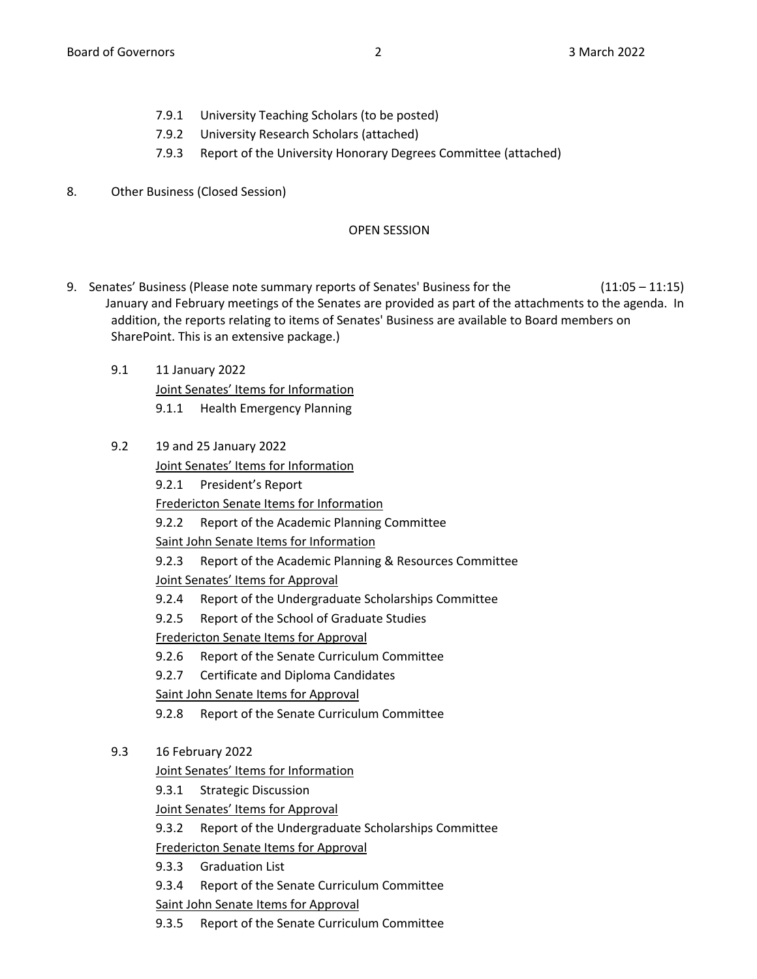- 7.9.1 University Teaching Scholars (to be posted)
- 7.9.2 University Research Scholars (attached)
- 7.9.3 Report of the University Honorary Degrees Committee (attached)
- 8. Other Business (Closed Session)

# OPEN SESSION

- 9. Senates' Business (Please note summary reports of Senates' Business for the (11:05 11:15) January and February meetings of the Senates are provided as part of the attachments to the agenda. In addition, the reports relating to items of Senates' Business are available to Board members on SharePoint. This is an extensive package.)
	- 9.1 11 January 2022 Joint Senates' Items for Information 9.1.1 Health Emergency Planning
	- 9.2 19 and 25 January 2022

Joint Senates' Items for Information

9.2.1 President's Report

Fredericton Senate Items for Information

9.2.2 Report of the Academic Planning Committee

Saint John Senate Items for Information

9.2.3 Report of the Academic Planning & Resources Committee Joint Senates' Items for Approval

- 9.2.4 Report of the Undergraduate Scholarships Committee
- 9.2.5 Report of the School of Graduate Studies

Fredericton Senate Items for Approval

- 9.2.6 Report of the Senate Curriculum Committee
- 9.2.7 Certificate and Diploma Candidates

Saint John Senate Items for Approval

- 9.2.8 Report of the Senate Curriculum Committee
- 9.3 16 February 2022

Joint Senates' Items for Information

9.3.1 Strategic Discussion

Joint Senates' Items for Approval

9.3.2 Report of the Undergraduate Scholarships Committee

Fredericton Senate Items for Approval

9.3.3 Graduation List

9.3.4 Report of the Senate Curriculum Committee

Saint John Senate Items for Approval

9.3.5 Report of the Senate Curriculum Committee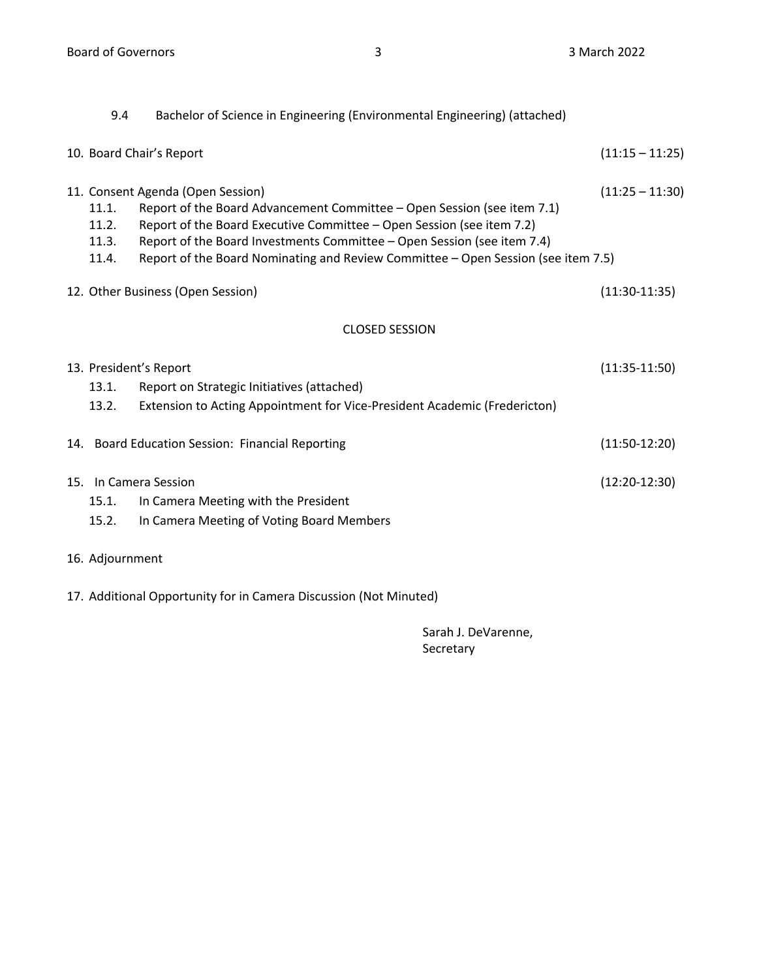| 9.4                              | Bachelor of Science in Engineering (Environmental Engineering) (attached)                                                                                                                                                                                                                                                                             |                   |  |  |  |  |  |
|----------------------------------|-------------------------------------------------------------------------------------------------------------------------------------------------------------------------------------------------------------------------------------------------------------------------------------------------------------------------------------------------------|-------------------|--|--|--|--|--|
|                                  | 10. Board Chair's Report                                                                                                                                                                                                                                                                                                                              | $(11:15 - 11:25)$ |  |  |  |  |  |
| 11.1.<br>11.2.<br>11.3.<br>11.4. | 11. Consent Agenda (Open Session)<br>Report of the Board Advancement Committee - Open Session (see item 7.1)<br>Report of the Board Executive Committee - Open Session (see item 7.2)<br>Report of the Board Investments Committee - Open Session (see item 7.4)<br>Report of the Board Nominating and Review Committee - Open Session (see item 7.5) | $(11:25 - 11:30)$ |  |  |  |  |  |
|                                  | 12. Other Business (Open Session)                                                                                                                                                                                                                                                                                                                     | $(11:30-11:35)$   |  |  |  |  |  |
| <b>CLOSED SESSION</b>            |                                                                                                                                                                                                                                                                                                                                                       |                   |  |  |  |  |  |
| 13.1.<br>13.2.                   | 13. President's Report<br>Report on Strategic Initiatives (attached)<br>Extension to Acting Appointment for Vice-President Academic (Fredericton)                                                                                                                                                                                                     | $(11:35-11:50)$   |  |  |  |  |  |
|                                  | 14. Board Education Session: Financial Reporting                                                                                                                                                                                                                                                                                                      | $(11:50-12:20)$   |  |  |  |  |  |
| 15.1.<br>15.2.                   | 15. In Camera Session<br>In Camera Meeting with the President<br>In Camera Meeting of Voting Board Members                                                                                                                                                                                                                                            | $(12:20-12:30)$   |  |  |  |  |  |
| 16. Adjournment                  |                                                                                                                                                                                                                                                                                                                                                       |                   |  |  |  |  |  |

17. Additional Opportunity for in Camera Discussion (Not Minuted)

Sarah J. DeVarenne, Secretary